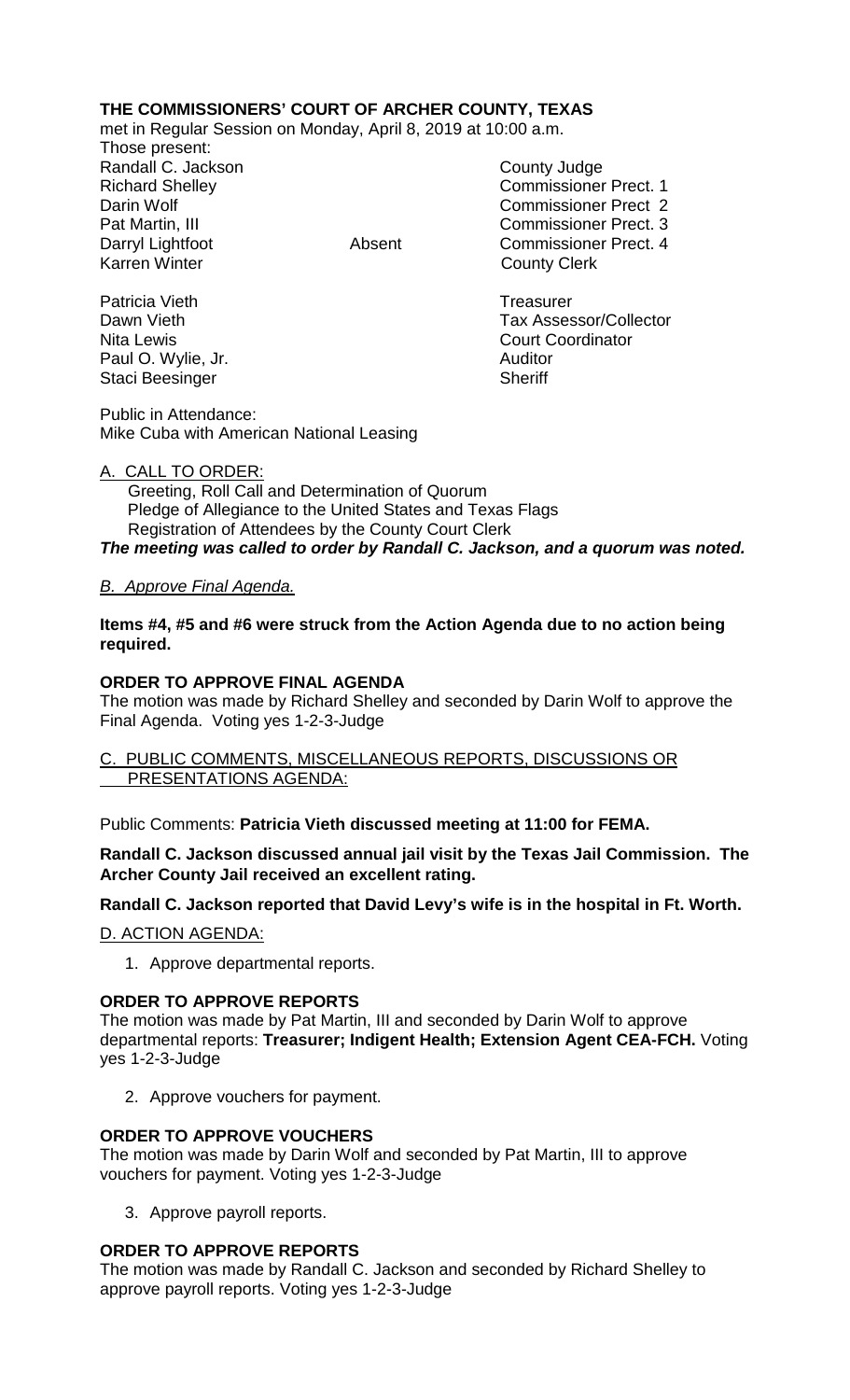# **THE COMMISSIONERS' COURT OF ARCHER COUNTY, TEXAS**

met in Regular Session on Monday, April 8, 2019 at 10:00 a.m.

Those present: Randall C. Jackson County Judge

Richard Shelley **Commissioner Prect. 1** Darin Wolf Commissioner Prect 2 Pat Martin, III Commissioner Prect. 3 Darryl Lightfoot **Absent** Commissioner Prect. 4<br>
Karren Winter **Counting County Client County Clerk** 

Patricia Vieth **Treasurer** Treasurer Dawn Vieth **Tax Assessor/Collector** Nita Lewis **Nita Lewis** Court Coordinator

Paul O. Wylie, Jr. **Auditor Paul O. Wylie, Jr. Auditor** Staci Beesinger Sheriff

Public in Attendance: Mike Cuba with American National Leasing

### A. CALL TO ORDER:

 Greeting, Roll Call and Determination of Quorum Pledge of Allegiance to the United States and Texas Flags Registration of Attendees by the County Court Clerk *The meeting was called to order by Randall C. Jackson, and a quorum was noted.*

## *B. Approve Final Agenda.*

**Items #4, #5 and #6 were struck from the Action Agenda due to no action being required.**

## **ORDER TO APPROVE FINAL AGENDA**

The motion was made by Richard Shelley and seconded by Darin Wolf to approve the Final Agenda. Voting yes 1-2-3-Judge

C. PUBLIC COMMENTS, MISCELLANEOUS REPORTS, DISCUSSIONS OR PRESENTATIONS AGENDA:

Public Comments: **Patricia Vieth discussed meeting at 11:00 for FEMA.**

**Randall C. Jackson discussed annual jail visit by the Texas Jail Commission. The Archer County Jail received an excellent rating.**

**Randall C. Jackson reported that David Levy's wife is in the hospital in Ft. Worth.**

D. ACTION AGENDA:

1. Approve departmental reports.

## **ORDER TO APPROVE REPORTS**

The motion was made by Pat Martin, III and seconded by Darin Wolf to approve departmental reports: **Treasurer; Indigent Health; Extension Agent CEA-FCH.** Voting yes 1-2-3-Judge

2. Approve vouchers for payment.

## **ORDER TO APPROVE VOUCHERS**

The motion was made by Darin Wolf and seconded by Pat Martin, III to approve vouchers for payment. Voting yes 1-2-3-Judge

3. Approve payroll reports.

## **ORDER TO APPROVE REPORTS**

The motion was made by Randall C. Jackson and seconded by Richard Shelley to approve payroll reports. Voting yes 1-2-3-Judge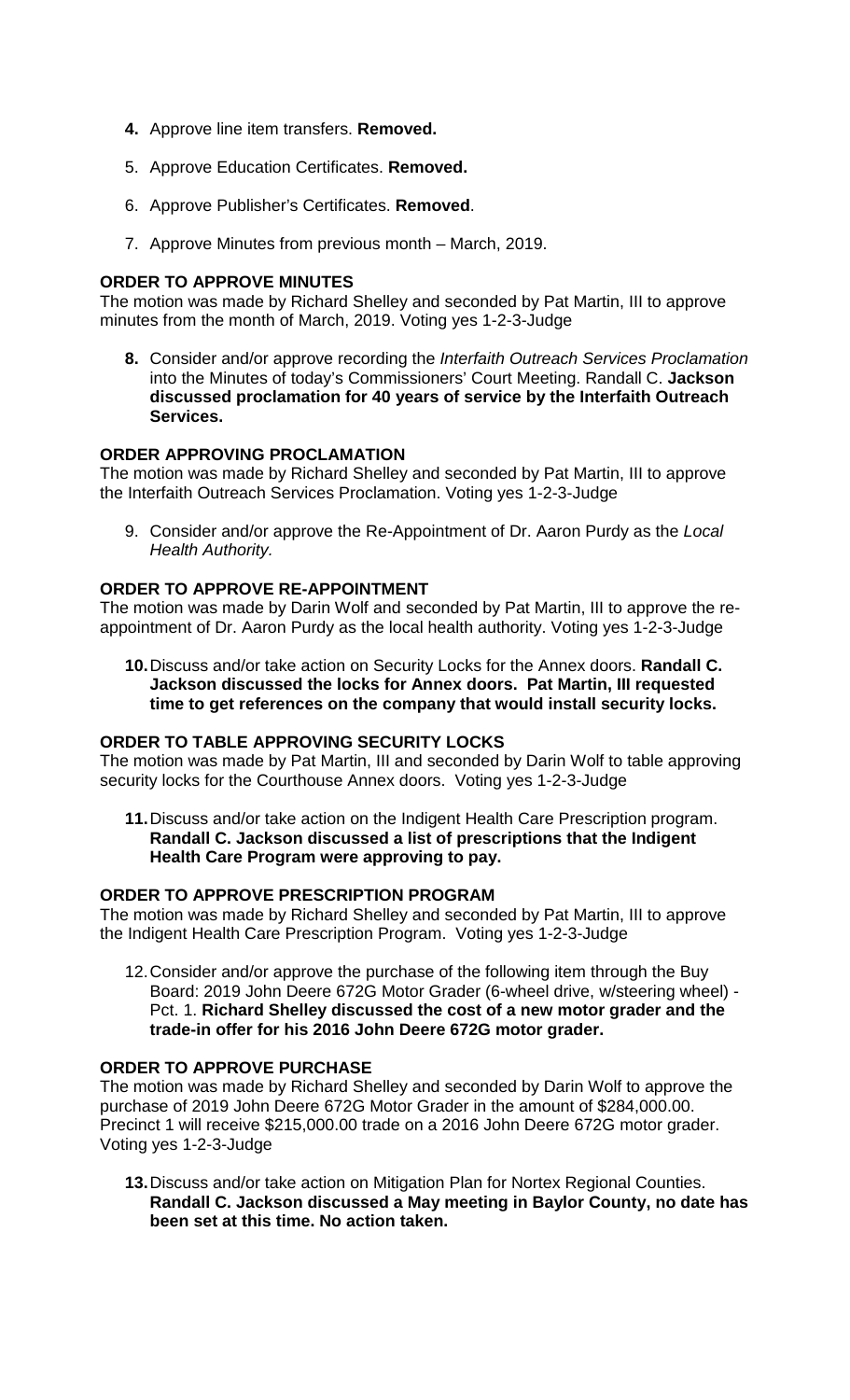- **4.** Approve line item transfers. **Removed.**
- 5. Approve Education Certificates. **Removed.**
- 6. Approve Publisher's Certificates. **Removed**.
- 7. Approve Minutes from previous month March, 2019.

### **ORDER TO APPROVE MINUTES**

The motion was made by Richard Shelley and seconded by Pat Martin, III to approve minutes from the month of March, 2019. Voting yes 1-2-3-Judge

**8.** Consider and/or approve recording the *Interfaith Outreach Services Proclamation*  into the Minutes of today's Commissioners' Court Meeting. Randall C. **Jackson discussed proclamation for 40 years of service by the Interfaith Outreach Services.**

### **ORDER APPROVING PROCLAMATION**

The motion was made by Richard Shelley and seconded by Pat Martin, III to approve the Interfaith Outreach Services Proclamation. Voting yes 1-2-3-Judge

9. Consider and/or approve the Re-Appointment of Dr. Aaron Purdy as the *Local Health Authority.*

### **ORDER TO APPROVE RE-APPOINTMENT**

The motion was made by Darin Wolf and seconded by Pat Martin, III to approve the reappointment of Dr. Aaron Purdy as the local health authority. Voting yes 1-2-3-Judge

**10.**Discuss and/or take action on Security Locks for the Annex doors. **Randall C. Jackson discussed the locks for Annex doors. Pat Martin, III requested time to get references on the company that would install security locks.**

#### **ORDER TO TABLE APPROVING SECURITY LOCKS**

The motion was made by Pat Martin, III and seconded by Darin Wolf to table approving security locks for the Courthouse Annex doors. Voting yes 1-2-3-Judge

**11.**Discuss and/or take action on the Indigent Health Care Prescription program. **Randall C. Jackson discussed a list of prescriptions that the Indigent Health Care Program were approving to pay.**

### **ORDER TO APPROVE PRESCRIPTION PROGRAM**

The motion was made by Richard Shelley and seconded by Pat Martin, III to approve the Indigent Health Care Prescription Program. Voting yes 1-2-3-Judge

12.Consider and/or approve the purchase of the following item through the Buy Board: 2019 John Deere 672G Motor Grader (6-wheel drive, w/steering wheel) - Pct. 1. **Richard Shelley discussed the cost of a new motor grader and the trade-in offer for his 2016 John Deere 672G motor grader.**

#### **ORDER TO APPROVE PURCHASE**

The motion was made by Richard Shelley and seconded by Darin Wolf to approve the purchase of 2019 John Deere 672G Motor Grader in the amount of \$284,000.00. Precinct 1 will receive \$215,000.00 trade on a 2016 John Deere 672G motor grader. Voting yes 1-2-3-Judge

**13.**Discuss and/or take action on Mitigation Plan for Nortex Regional Counties. **Randall C. Jackson discussed a May meeting in Baylor County, no date has been set at this time. No action taken.**